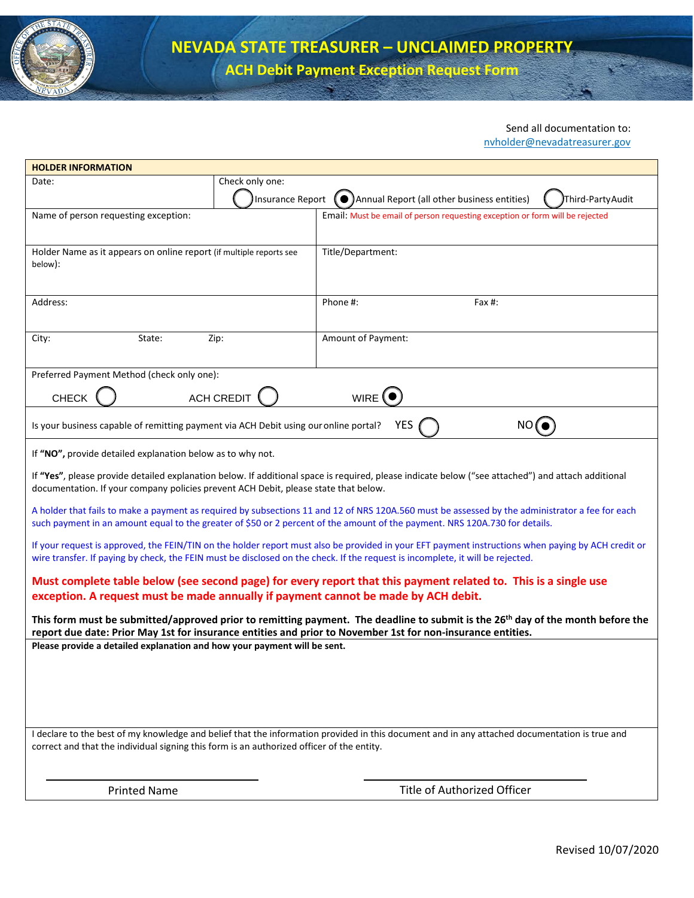

**ACH Debit Payment Exception Request Form**

## Send all documentation to:

[nvholder@nevadatreasurer.gov](mailto:nvholder@nevadatreasurer.gov)

| <b>HOLDER INFORMATION</b>                                                                                                                                                                                                                                                            |                    |                                                                                                                 |  |  |  |
|--------------------------------------------------------------------------------------------------------------------------------------------------------------------------------------------------------------------------------------------------------------------------------------|--------------------|-----------------------------------------------------------------------------------------------------------------|--|--|--|
| Date:                                                                                                                                                                                                                                                                                | Check only one:    |                                                                                                                 |  |  |  |
|                                                                                                                                                                                                                                                                                      | Insurance Report ( | Annual Report (all other business entities)<br>Third-Party Audit                                                |  |  |  |
| Name of person requesting exception:                                                                                                                                                                                                                                                 |                    | Email: Must be email of person requesting exception or form will be rejected                                    |  |  |  |
|                                                                                                                                                                                                                                                                                      |                    |                                                                                                                 |  |  |  |
| Holder Name as it appears on online report (if multiple reports see                                                                                                                                                                                                                  |                    | Title/Department:                                                                                               |  |  |  |
| below):                                                                                                                                                                                                                                                                              |                    |                                                                                                                 |  |  |  |
|                                                                                                                                                                                                                                                                                      |                    |                                                                                                                 |  |  |  |
| Address:                                                                                                                                                                                                                                                                             |                    | Phone #:<br>Fax #:                                                                                              |  |  |  |
|                                                                                                                                                                                                                                                                                      |                    |                                                                                                                 |  |  |  |
| State:<br>City:                                                                                                                                                                                                                                                                      | Zip:               | Amount of Payment:                                                                                              |  |  |  |
|                                                                                                                                                                                                                                                                                      |                    |                                                                                                                 |  |  |  |
| Preferred Payment Method (check only one):                                                                                                                                                                                                                                           |                    |                                                                                                                 |  |  |  |
|                                                                                                                                                                                                                                                                                      |                    |                                                                                                                 |  |  |  |
| <b>CHECK</b>                                                                                                                                                                                                                                                                         | ACH CREDIT         | WIRE I                                                                                                          |  |  |  |
| YES<br>Is your business capable of remitting payment via ACH Debit using our online portal?<br>NO (                                                                                                                                                                                  |                    |                                                                                                                 |  |  |  |
| If "NO", provide detailed explanation below as to why not.                                                                                                                                                                                                                           |                    |                                                                                                                 |  |  |  |
| If "Yes", please provide detailed explanation below. If additional space is required, please indicate below ("see attached") and attach additional<br>documentation. If your company policies prevent ACH Debit, please state that below.                                            |                    |                                                                                                                 |  |  |  |
| A holder that fails to make a payment as required by subsections 11 and 12 of NRS 120A.560 must be assessed by the administrator a fee for each<br>such payment in an amount equal to the greater of \$50 or 2 percent of the amount of the payment. NRS 120A.730 for details.       |                    |                                                                                                                 |  |  |  |
| If your request is approved, the FEIN/TIN on the holder report must also be provided in your EFT payment instructions when paying by ACH credit or<br>wire transfer. If paying by check, the FEIN must be disclosed on the check. If the request is incomplete, it will be rejected. |                    |                                                                                                                 |  |  |  |
|                                                                                                                                                                                                                                                                                      |                    | Must complete table below (see second page) for every report that this payment related to. This is a single use |  |  |  |
| exception. A request must be made annually if payment cannot be made by ACH debit.                                                                                                                                                                                                   |                    |                                                                                                                 |  |  |  |
| This form must be submitted/approved prior to remitting payment. The deadline to submit is the 26 <sup>th</sup> day of the month before the<br>report due date: Prior May 1st for insurance entities and prior to November 1st for non-insurance entities.                           |                    |                                                                                                                 |  |  |  |
| Please provide a detailed explanation and how your payment will be sent.                                                                                                                                                                                                             |                    |                                                                                                                 |  |  |  |
|                                                                                                                                                                                                                                                                                      |                    |                                                                                                                 |  |  |  |
|                                                                                                                                                                                                                                                                                      |                    |                                                                                                                 |  |  |  |
|                                                                                                                                                                                                                                                                                      |                    |                                                                                                                 |  |  |  |
|                                                                                                                                                                                                                                                                                      |                    |                                                                                                                 |  |  |  |
| I declare to the best of my knowledge and belief that the information provided in this document and in any attached documentation is true and                                                                                                                                        |                    |                                                                                                                 |  |  |  |
| correct and that the individual signing this form is an authorized officer of the entity.                                                                                                                                                                                            |                    |                                                                                                                 |  |  |  |
|                                                                                                                                                                                                                                                                                      |                    |                                                                                                                 |  |  |  |
| <b>Printed Name</b>                                                                                                                                                                                                                                                                  |                    | Title of Authorized Officer                                                                                     |  |  |  |